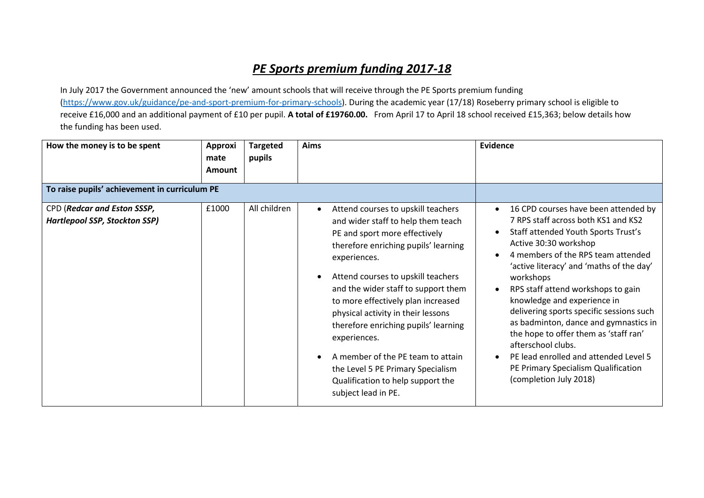## *PE Sports premium funding 2017-18*

In July 2017 the Government announced the 'new' amount schools that will receive through the PE Sports premium funding [\(https://www.gov.uk/guidance/pe-and-sport-premium-for-primary-schools\)](https://www.gov.uk/guidance/pe-and-sport-premium-for-primary-schools). During the academic year (17/18) Roseberry primary school is eligible to receive £16,000 and an additional payment of £10 per pupil. **A total of £19760.00.** From April 17 to April 18 school received £15,363; below details how the funding has been used.

| How the money is to be spent                                        | Approxi<br>mate<br><b>Amount</b> | <b>Targeted</b><br>pupils | Aims                                                                                                                                                                                                                                                                                                                                                                                                                                                                                                                                               | Evidence                                                                                                                                                                                                                                                                                                                                                                                                                                                                                                                                                                      |
|---------------------------------------------------------------------|----------------------------------|---------------------------|----------------------------------------------------------------------------------------------------------------------------------------------------------------------------------------------------------------------------------------------------------------------------------------------------------------------------------------------------------------------------------------------------------------------------------------------------------------------------------------------------------------------------------------------------|-------------------------------------------------------------------------------------------------------------------------------------------------------------------------------------------------------------------------------------------------------------------------------------------------------------------------------------------------------------------------------------------------------------------------------------------------------------------------------------------------------------------------------------------------------------------------------|
| To raise pupils' achievement in curriculum PE                       |                                  |                           |                                                                                                                                                                                                                                                                                                                                                                                                                                                                                                                                                    |                                                                                                                                                                                                                                                                                                                                                                                                                                                                                                                                                                               |
| CPD (Redcar and Eston SSSP,<br><b>Hartlepool SSP, Stockton SSP)</b> | £1000                            | All children              | Attend courses to upskill teachers<br>$\bullet$<br>and wider staff to help them teach<br>PE and sport more effectively<br>therefore enriching pupils' learning<br>experiences.<br>Attend courses to upskill teachers<br>$\bullet$<br>and the wider staff to support them<br>to more effectively plan increased<br>physical activity in their lessons<br>therefore enriching pupils' learning<br>experiences.<br>A member of the PE team to attain<br>the Level 5 PE Primary Specialism<br>Qualification to help support the<br>subject lead in PE. | 16 CPD courses have been attended by<br>7 RPS staff across both KS1 and KS2<br>Staff attended Youth Sports Trust's<br>Active 30:30 workshop<br>4 members of the RPS team attended<br>'active literacy' and 'maths of the day'<br>workshops<br>RPS staff attend workshops to gain<br>knowledge and experience in<br>delivering sports specific sessions such<br>as badminton, dance and gymnastics in<br>the hope to offer them as 'staff ran'<br>afterschool clubs.<br>PE lead enrolled and attended Level 5<br>PE Primary Specialism Qualification<br>(completion July 2018) |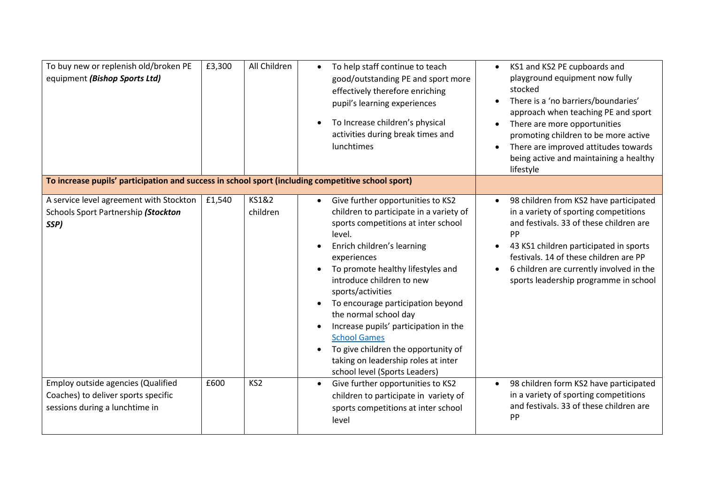| To buy new or replenish old/broken PE<br>equipment (Bishop Sports Ltd)<br>To increase pupils' participation and success in school sport (including competitive school sport) | £3,300 | All Children      | To help staff continue to teach<br>$\bullet$<br>good/outstanding PE and sport more<br>effectively therefore enriching<br>pupil's learning experiences<br>To Increase children's physical<br>$\bullet$<br>activities during break times and<br>lunchtimes                                                                                                                                                                                                                                                                                 | KS1 and KS2 PE cupboards and<br>$\bullet$<br>playground equipment now fully<br>stocked<br>There is a 'no barriers/boundaries'<br>approach when teaching PE and sport<br>There are more opportunities<br>promoting children to be more active<br>There are improved attitudes towards<br>being active and maintaining a healthy<br>lifestyle |
|------------------------------------------------------------------------------------------------------------------------------------------------------------------------------|--------|-------------------|------------------------------------------------------------------------------------------------------------------------------------------------------------------------------------------------------------------------------------------------------------------------------------------------------------------------------------------------------------------------------------------------------------------------------------------------------------------------------------------------------------------------------------------|---------------------------------------------------------------------------------------------------------------------------------------------------------------------------------------------------------------------------------------------------------------------------------------------------------------------------------------------|
| A service level agreement with Stockton<br>Schools Sport Partnership (Stockton<br>SSP)                                                                                       | £1,540 | KS1&2<br>children | Give further opportunities to KS2<br>$\bullet$<br>children to participate in a variety of<br>sports competitions at inter school<br>level.<br>Enrich children's learning<br>experiences<br>To promote healthy lifestyles and<br>introduce children to new<br>sports/activities<br>To encourage participation beyond<br>$\bullet$<br>the normal school day<br>Increase pupils' participation in the<br><b>School Games</b><br>To give children the opportunity of<br>taking on leadership roles at inter<br>school level (Sports Leaders) | 98 children from KS2 have participated<br>in a variety of sporting competitions<br>and festivals. 33 of these children are<br>PP<br>43 KS1 children participated in sports<br>festivals. 14 of these children are PP<br>6 children are currently involved in the<br>sports leadership programme in school                                   |
| <b>Employ outside agencies (Qualified</b><br>Coaches) to deliver sports specific<br>sessions during a lunchtime in                                                           | £600   | KS <sub>2</sub>   | Give further opportunities to KS2<br>$\bullet$<br>children to participate in variety of<br>sports competitions at inter school<br>level                                                                                                                                                                                                                                                                                                                                                                                                  | 98 children form KS2 have participated<br>$\bullet$<br>in a variety of sporting competitions<br>and festivals. 33 of these children are<br>PP                                                                                                                                                                                               |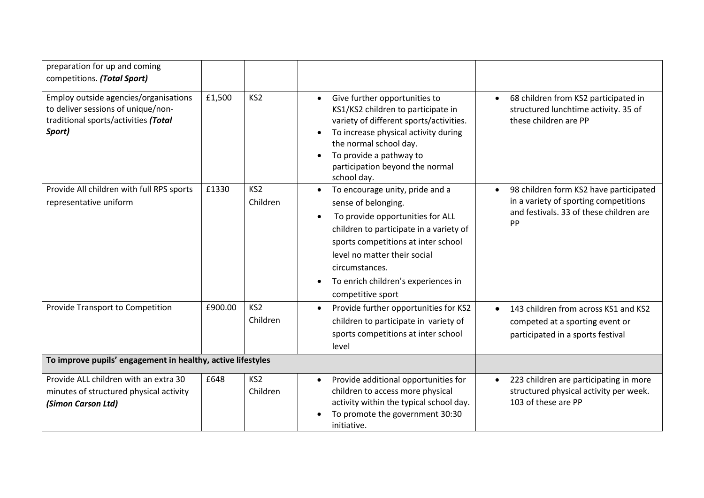| preparation for up and coming<br>competitions. (Total Sport)                                                                  |         |                             |                                                                                                                                                                                                                                                                                                                                   |                                                                                                                                  |
|-------------------------------------------------------------------------------------------------------------------------------|---------|-----------------------------|-----------------------------------------------------------------------------------------------------------------------------------------------------------------------------------------------------------------------------------------------------------------------------------------------------------------------------------|----------------------------------------------------------------------------------------------------------------------------------|
| Employ outside agencies/organisations<br>to deliver sessions of unique/non-<br>traditional sports/activities (Total<br>Sport) | £1,500  | KS <sub>2</sub>             | Give further opportunities to<br>$\bullet$<br>KS1/KS2 children to participate in<br>variety of different sports/activities.<br>To increase physical activity during<br>the normal school day.<br>To provide a pathway to<br>participation beyond the normal<br>school day.                                                        | 68 children from KS2 participated in<br>structured lunchtime activity. 35 of<br>these children are PP                            |
| Provide All children with full RPS sports<br>representative uniform                                                           | £1330   | KS <sub>2</sub><br>Children | To encourage unity, pride and a<br>$\bullet$<br>sense of belonging.<br>To provide opportunities for ALL<br>$\bullet$<br>children to participate in a variety of<br>sports competitions at inter school<br>level no matter their social<br>circumstances.<br>To enrich children's experiences in<br>$\bullet$<br>competitive sport | 98 children form KS2 have participated<br>in a variety of sporting competitions<br>and festivals. 33 of these children are<br>PP |
| Provide Transport to Competition                                                                                              | £900.00 | KS <sub>2</sub><br>Children | Provide further opportunities for KS2<br>children to participate in variety of<br>sports competitions at inter school<br>level                                                                                                                                                                                                    | 143 children from across KS1 and KS2<br>competed at a sporting event or<br>participated in a sports festival                     |
| To improve pupils' engagement in healthy, active lifestyles                                                                   |         |                             |                                                                                                                                                                                                                                                                                                                                   |                                                                                                                                  |
| Provide ALL children with an extra 30<br>minutes of structured physical activity<br>(Simon Carson Ltd)                        | £648    | KS <sub>2</sub><br>Children | Provide additional opportunities for<br>$\bullet$<br>children to access more physical<br>activity within the typical school day.<br>To promote the government 30:30<br>initiative.                                                                                                                                                | 223 children are participating in more<br>structured physical activity per week.<br>103 of these are PP                          |